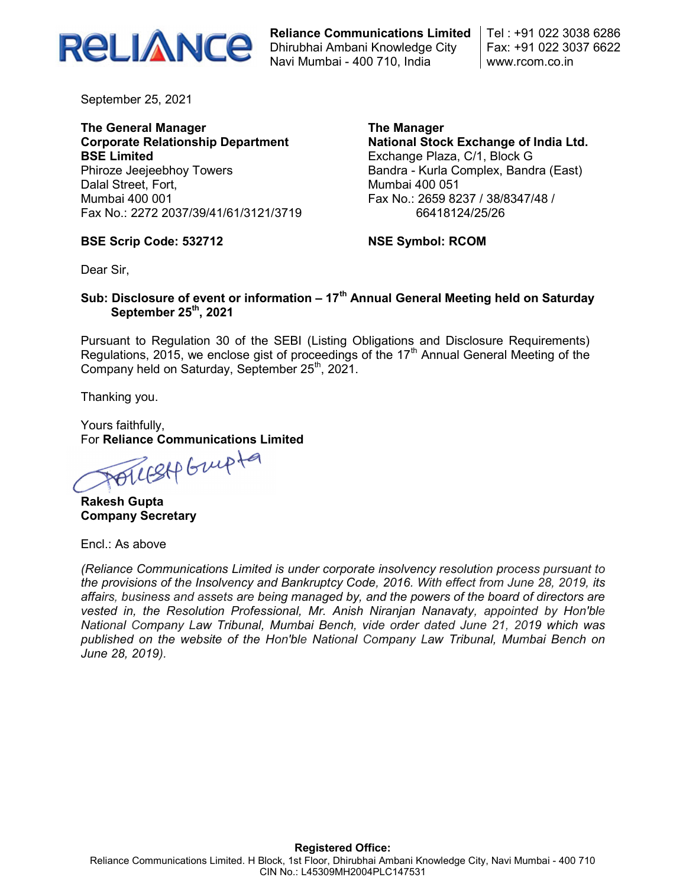

Reliance Communications Limited Dhirubhai Ambani Knowledge City Navi Mumbai - 400 710, India

Tel : +91 022 3038 6286 Fax: +91 022 3037 6622 www.rcom.co.in

September 25, 2021

### The General Manager Corporate Relationship Department BSE Limited Phiroze Jeejeebhoy Towers Dalal Street, Fort, Mumbai 400 001 Fax No.: 2272 2037/39/41/61/3121/3719

The Manager National Stock Exchange of India Ltd. Exchange Plaza, C/1, Block G Bandra - Kurla Complex, Bandra (East) Mumbai 400 051 Fax No.: 2659 8237 / 38/8347/48 / 66418124/25/26

### BSE Scrip Code: 532712

NSE Symbol: RCOM

Dear Sir,

# Sub: Disclosure of event or information  $-17<sup>th</sup>$  Annual General Meeting held on Saturday September 25<sup>th</sup>, 2021

Pursuant to Regulation 30 of the SEBI (Listing Obligations and Disclosure Requirements) Regulations, 2015, we enclose gist of proceedings of the  $17<sup>th</sup>$  Annual General Meeting of the Company held on Saturday, September  $25<sup>th</sup>$ , 2021.

Thanking you.

Yours faithfully,

For Reliance Communications Limited<br>All Supplement

Rakesh Gupta Company Secretary

Encl.: As above

(Reliance Communications Limited is under corporate insolvency resolution process pursuant to the provisions of the Insolvency and Bankruptcy Code, 2016. With effect from June 28, 2019, its affairs, business and assets are being managed by, and the powers of the board of directors are vested in, the Resolution Professional, Mr. Anish Niranjan Nanavaty, appointed by Hon'ble National Company Law Tribunal, Mumbai Bench, vide order dated June 21, 2019 which was published on the website of the Hon'ble National Company Law Tribunal, Mumbai Bench on June 28, 2019).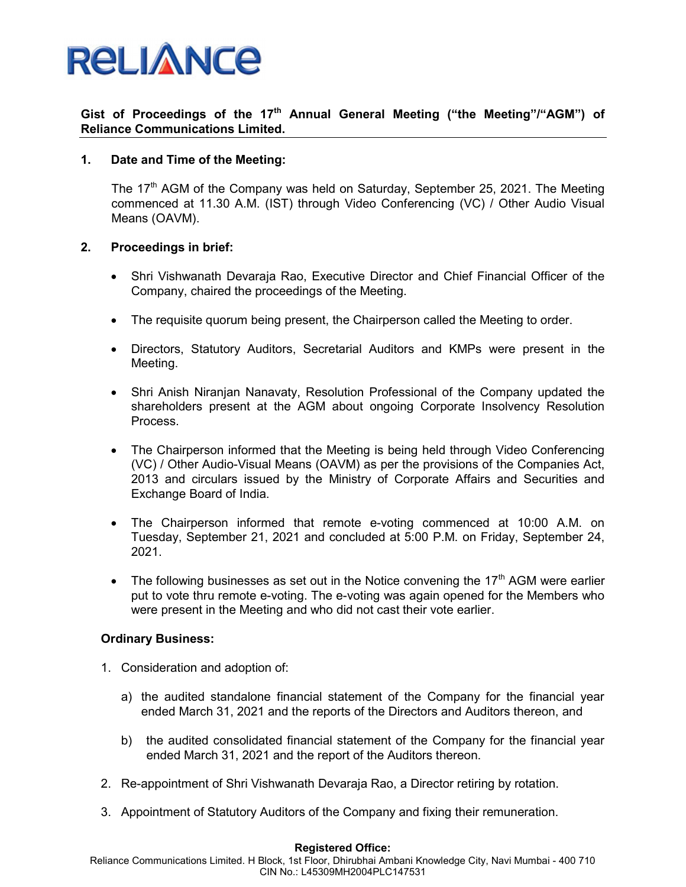

# Gist of Proceedings of the 17<sup>th</sup> Annual General Meeting ("the Meeting"/"AGM") of Reliance Communications Limited.

## 1. Date and Time of the Meeting:

The  $17<sup>th</sup>$  AGM of the Company was held on Saturday, September 25, 2021. The Meeting commenced at 11.30 A.M. (IST) through Video Conferencing (VC) / Other Audio Visual Means (OAVM).

### 2. Proceedings in brief:

- Shri Vishwanath Devaraja Rao, Executive Director and Chief Financial Officer of the Company, chaired the proceedings of the Meeting.
- The requisite quorum being present, the Chairperson called the Meeting to order.
- Directors, Statutory Auditors, Secretarial Auditors and KMPs were present in the Meeting.
- Shri Anish Niranjan Nanavaty, Resolution Professional of the Company updated the shareholders present at the AGM about ongoing Corporate Insolvency Resolution Process.
- The Chairperson informed that the Meeting is being held through Video Conferencing (VC) / Other Audio-Visual Means (OAVM) as per the provisions of the Companies Act, 2013 and circulars issued by the Ministry of Corporate Affairs and Securities and Exchange Board of India.
- The Chairperson informed that remote e-voting commenced at 10:00 A.M. on Tuesday, September 21, 2021 and concluded at 5:00 P.M. on Friday, September 24, 2021.
- The following businesses as set out in the Notice convening the  $17<sup>th</sup>$  AGM were earlier put to vote thru remote e-voting. The e-voting was again opened for the Members who were present in the Meeting and who did not cast their vote earlier.

### Ordinary Business:

- 1. Consideration and adoption of:
	- a) the audited standalone financial statement of the Company for the financial year ended March 31, 2021 and the reports of the Directors and Auditors thereon, and
	- b) the audited consolidated financial statement of the Company for the financial year ended March 31, 2021 and the report of the Auditors thereon.
- 2. Re-appointment of Shri Vishwanath Devaraja Rao, a Director retiring by rotation.
- 3. Appointment of Statutory Auditors of the Company and fixing their remuneration.

#### Registered Office:

Reliance Communications Limited. H Block, 1st Floor, Dhirubhai Ambani Knowledge City, Navi Mumbai - 400 710 CIN No.: L45309MH2004PLC147531